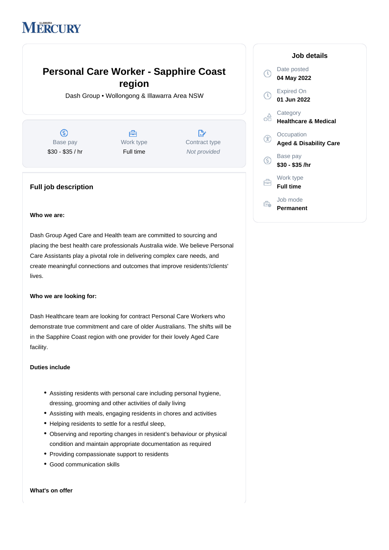# **MERCURY**

# **Personal Care Worker - Sapphire Coast region**

Dash Group • Wollongong & Illawarra Area NSW

 $\circledS$ Base pay \$30 - \$35 / hr

A Work type Full time

 $\mathbb{R}^{\circ}$ Contract type Not provided

# **Full job description**

## **Who we are:**

Dash Group Aged Care and Health team are committed to sourcing and placing the best health care professionals Australia wide. We believe Personal Care Assistants play a pivotal role in delivering complex care needs, and create meaningful connections and outcomes that improve residents'/clients' lives.

# **Who we are looking for:**

Dash Healthcare team are looking for contract Personal Care Workers who demonstrate true commitment and care of older Australians. The shifts will be in the Sapphire Coast region with one provider for their lovely Aged Care facility.

### **Duties include**

- Assisting residents with personal care including personal hygiene, dressing, grooming and other activities of daily living
- Assisting with meals, engaging residents in chores and activities
- Helping residents to settle for a restful sleep,
- Observing and reporting changes in resident's behaviour or physical condition and maintain appropriate documentation as required
- Providing compassionate support to residents
- Good communication skills

#### **What's on offer**